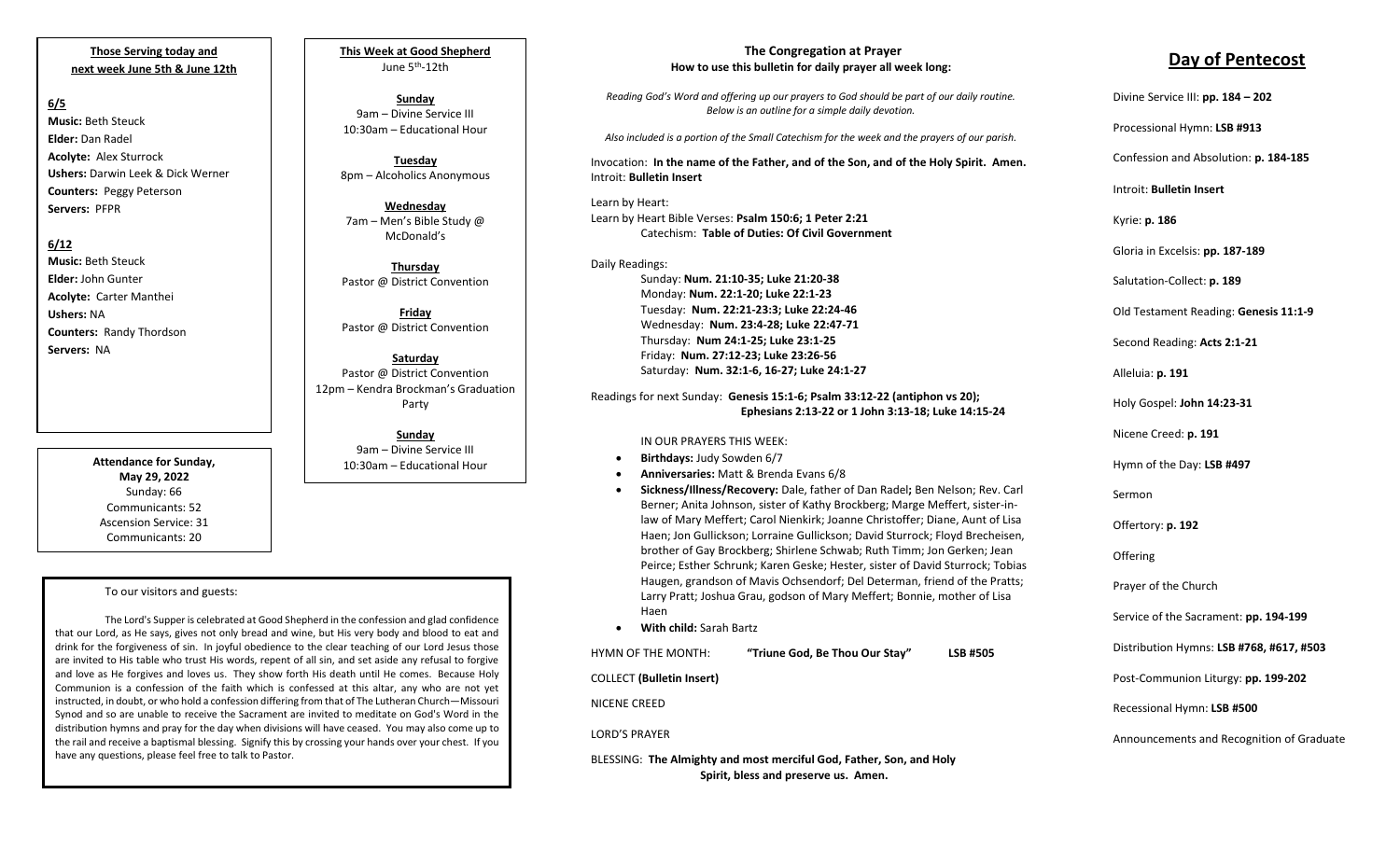**Those Serving today and next week June 5th & June 12th**

### **6/5**

**Music:** Beth Steuck **Elder:** Dan Radel **Acolyte:** Alex Sturrock **Ushers:** Darwin Leek & Dick Werner **Counters:** Peggy Peterson **Servers:** PFPR

## **6/12**

**Music:** Beth Steuck **Elder:** John Gunter **Acolyte:** Carter Manthei **Ushers:** NA **Counters:** Randy Thordson **Servers:** NA

> **Attendance for Sunday, May 29, 2022** Sunday: 66 Communicants: 52 Ascension Service: 31 Communicants: 20

#### To our visitors and guests:

The Lord's Supper is celebrated at Good Shepherd in the confession and glad confidence that our Lord, as He says, gives not only bread and wine, but His very body and blood to eat and drink for the forgiveness of sin. In joyful obedience to the clear teaching of our Lord Jesus those are invited to His table who trust His words, repent of all sin, and set aside any refusal to forgive and love as He forgives and loves us. They show forth His death until He comes. Because Holy Communion is a confession of the faith which is confessed at this altar, any who are not yet instructed, in doubt, or who hold a confession differing from that of The Lutheran Church—Missouri Synod and so are unable to receive the Sacrament are invited to meditate on God's Word in the distribution hymns and pray for the day when divisions will have ceased. You may also come up to the rail and receive a baptismal blessing. Signify this by crossing your hands over your chest. If you have any questions, please feel free to talk to Pastor.

**This Week at Good Shepherd** June 5th-12th

**Sunday**  9am – Divine Service III 10:30am – Educational Hour

**Tuesday** 8pm – Alcoholics Anonymous

**Wednesday** 7am – Men's Bible Study @ McDonald's

**Thursday** Pastor @ District Convention

**Friday** Pastor @ District Convention

**Saturday** Pastor @ District Convention 12pm – Kendra Brockman's Graduation Party

> **Sunday**  9am – Divine Service III 10:30am – Educational Hour

#### **The Congregation at Prayer How to use this bulletin for daily prayer all week long:**

*Reading God's Word and offering up our prayers to God should be part of our daily routine. Below is an outline for a simple daily devotion.*

*Also included is a portion of the Small Catechism for the week and the prayers of our parish.*

Invocation: **In the name of the Father, and of the Son, and of the Holy Spirit. Amen.** Introit: **Bulletin Insert**

Learn by Heart: Learn by Heart Bible Verses: **Psalm 150:6; 1 Peter 2:21** Catechism: **Table of Duties: Of Civil Government**

Daily Readings: Sunday: **Num. 21:10-35; Luke 21:20-38** Monday: **Num. 22:1-20; Luke 22:1-23** Tuesday: **Num. 22:21-23:3; Luke 22:24-46** Wednesday: **Num. 23:4-28; Luke 22:47-71** Thursday: **Num 24:1-25; Luke 23:1-25** Friday: **Num. 27:12-23; Luke 23:26-56** Saturday: **Num. 32:1-6, 16-27; Luke 24:1-27**

Readings for next Sunday: **Genesis 15:1-6; Psalm 33:12-22 (antiphon vs 20); Ephesians 2:13-22 or 1 John 3:13-18; Luke 14:15-24**

#### IN OUR PRAYERS THIS WEEK:

- **Birthdays:** Judy Sowden 6/7
- **Anniversaries:** Matt & Brenda Evans 6/8
- **Sickness/Illness/Recovery:** Dale, father of Dan Radel**;** Ben Nelson; Rev. Carl Berner; Anita Johnson, sister of Kathy Brockberg; Marge Meffert, sister-inlaw of Mary Meffert; Carol Nienkirk; Joanne Christoffer; Diane, Aunt of Lisa Haen; Jon Gullickson; Lorraine Gullickson; David Sturrock; Floyd Brecheisen, brother of Gay Brockberg; Shirlene Schwab; Ruth Timm; Jon Gerken; Jean Peirce; Esther Schrunk; Karen Geske; Hester, sister of David Sturrock; Tobias Haugen, grandson of Mavis Ochsendorf; Del Determan, friend of the Pratts; Larry Pratt; Joshua Grau, godson of Mary Meffert; Bonnie, mother of Lisa Haen
- **With child:** Sarah Bartz

HYMN OF THE MONTH: **"Triune God, Be Thou Our Stay" LSB #505**

COLLECT **(Bulletin Insert)**

NICENE CREED

LORD'S PRAYER

BLESSING: **The Almighty and most merciful God, Father, Son, and Holy Spirit, bless and preserve us. Amen.**

# **Day of Pentecost**

Divine Service III: **pp. 184 – 202**

Processional Hymn: **LSB #913**

Confession and Absolution: **p. 184-185**

Introit: **Bulletin Insert** 

Kyrie: **p. 186**

Gloria in Excelsis: **pp. 187-189**

Salutation-Collect: **p. 189**

Old Testament Reading: **Genesis 11:1-9**

Second Reading: **Acts 2:1-21**

Alleluia: **p. 191**

Holy Gospel: **John 14:23-31**

Nicene Creed: **p. 191**

Hymn of the Day: **LSB #497**

Sermon

Offertory: **p. 192**

**Offering** 

Prayer of the Church

Service of the Sacrament: **pp. 194-199**

Distribution Hymns: **LSB #768, #617, #503**

Post-Communion Liturgy: **pp. 199-202** 

Recessional Hymn: **LSB #500**

Announcements and Recognition of Graduate